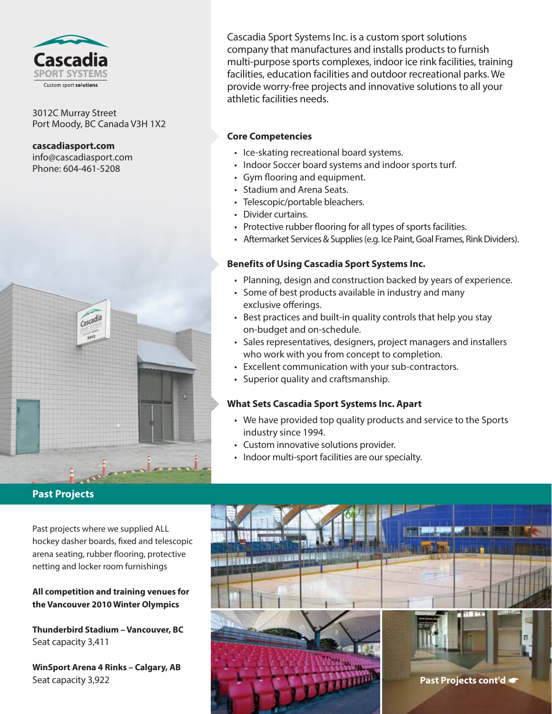

3012C Murray Street Port Moody, BC Canada V3H 1X2

**cascadiasport.com** info@cascadiasport.com Phone: 604-461-5208



# **Past Projects**

Past projects where we supplied ALL hockey dasher boards, fixed and telescopic arena seating, rubber flooring, protective netting and locker room furnishings

#### **All competition and training venues for the Vancouver 2010 Winter Olympics**

**Thunderbird Stadium – Vancouver, BC** Seat capacity 3,411

**WinSport Arena 4 Rinks – Calgary, AB** Seat capacity 3,922

Cascadia Sport Systems Inc. is a custom sport solutions company that manufactures and installs products to furnish multi-purpose sports complexes, indoor ice rink facilities, training facilities, education facilities and outdoor recreational parks. We provide worry-free projects and innovative solutions to all your athletic facilities needs.

### **Core Competencies**

- Ice-skating recreational board systems.
- Indoor Soccer board systems and indoor sports turf.
- Gym flooring and equipment.
- Stadium and Arena Seats.
- Telescopic/portable bleachers.
- Divider curtains.
- Protective rubber flooring for all types of sports facilities.
- Aftermarket Services & Supplies (e.g. Ice Paint, Goal Frames, Rink Dividers).

## **Benefits of Using Cascadia Sport Systems Inc.**

- Planning, design and construction backed by years of experience.
- Some of best products available in industry and many exclusive offerings.
- Best practices and built-in quality controls that help you stay on-budget and on-schedule.
- Sales representatives, designers, project managers and installers who work with you from concept to completion.
- Excellent communication with your sub-contractors.
- Superior quality and craftsmanship.

### **What Sets Cascadia Sport Systems Inc. Apart**

- We have provided top quality products and service to the Sports industry since 1994.
- Custom innovative solutions provider.
- Indoor multi-sport facilities are our specialty.